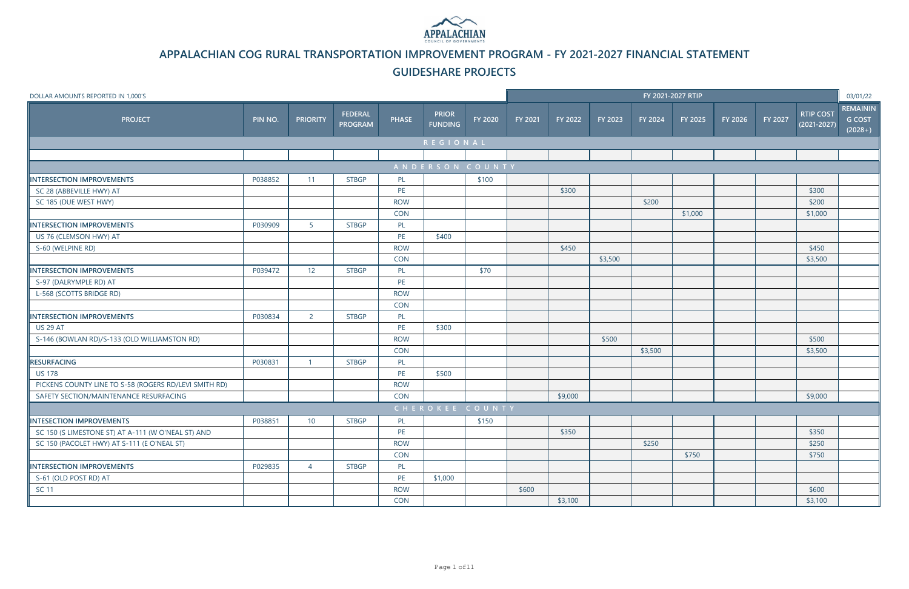| DOLLAR AMOUNTS REPORTED IN 1,000'S                    |         |                 |                                  |              |                                |                     |         |         |         |         | FY 2021-2027 RTIP |         |         |                                     | 03/01/22                                      |
|-------------------------------------------------------|---------|-----------------|----------------------------------|--------------|--------------------------------|---------------------|---------|---------|---------|---------|-------------------|---------|---------|-------------------------------------|-----------------------------------------------|
| <b>PROJECT</b>                                        | PIN NO. | <b>PRIORITY</b> | <b>FEDERAL</b><br><b>PROGRAM</b> | <b>PHASE</b> | <b>PRIOR</b><br><b>FUNDING</b> | FY 2020             | FY 2021 | FY 2022 | FY 2023 | FY 2024 | FY 2025           | FY 2026 | FY 2027 | <b>RTIP COST</b><br>$(2021 - 2027)$ | <b>REMAININ</b><br><b>G COST</b><br>$(2028+)$ |
|                                                       |         |                 |                                  |              | <b>REGIONAL</b>                |                     |         |         |         |         |                   |         |         |                                     |                                               |
|                                                       |         |                 |                                  |              |                                |                     |         |         |         |         |                   |         |         |                                     |                                               |
|                                                       |         |                 |                                  |              | ANDERSON COUNTY                |                     |         |         |         |         |                   |         |         |                                     |                                               |
| <b>INTERSECTION IMPROVEMENTS</b>                      | P038852 | 11              | <b>STBGP</b>                     | PL           |                                | \$100               |         |         |         |         |                   |         |         |                                     |                                               |
| SC 28 (ABBEVILLE HWY) AT                              |         |                 |                                  | PE           |                                |                     |         | \$300   |         |         |                   |         |         | \$300                               |                                               |
| SC 185 (DUE WEST HWY)                                 |         |                 |                                  | <b>ROW</b>   |                                |                     |         |         |         | \$200   |                   |         |         | \$200                               |                                               |
|                                                       |         |                 |                                  | <b>CON</b>   |                                |                     |         |         |         |         | \$1,000           |         |         | \$1,000                             |                                               |
| <b>INTERSECTION IMPROVEMENTS</b>                      | P030909 | 5 <sup>1</sup>  | <b>STBGP</b>                     | PL           |                                |                     |         |         |         |         |                   |         |         |                                     |                                               |
| US 76 (CLEMSON HWY) AT                                |         |                 |                                  | PE           | \$400                          |                     |         |         |         |         |                   |         |         |                                     |                                               |
| S-60 (WELPINE RD)                                     |         |                 |                                  | <b>ROW</b>   |                                |                     |         | \$450   |         |         |                   |         |         | \$450                               |                                               |
|                                                       |         |                 |                                  | <b>CON</b>   |                                |                     |         |         | \$3,500 |         |                   |         |         | \$3,500                             |                                               |
| INTERSECTION IMPROVEMENTS                             | P039472 | 12              | <b>STBGP</b>                     | PL           |                                | \$70                |         |         |         |         |                   |         |         |                                     |                                               |
| S-97 (DALRYMPLE RD) AT                                |         |                 |                                  | PE           |                                |                     |         |         |         |         |                   |         |         |                                     |                                               |
| L-568 (SCOTTS BRIDGE RD)                              |         |                 |                                  | <b>ROW</b>   |                                |                     |         |         |         |         |                   |         |         |                                     |                                               |
|                                                       |         |                 |                                  | <b>CON</b>   |                                |                     |         |         |         |         |                   |         |         |                                     |                                               |
| INTERSECTION IMPROVEMENTS                             | P030834 | $\overline{2}$  | <b>STBGP</b>                     | PL           |                                |                     |         |         |         |         |                   |         |         |                                     |                                               |
| <b>US 29 AT</b>                                       |         |                 |                                  | PE           | \$300                          |                     |         |         |         |         |                   |         |         |                                     |                                               |
| S-146 (BOWLAN RD)/S-133 (OLD WILLIAMSTON RD)          |         |                 |                                  | <b>ROW</b>   |                                |                     |         |         | \$500   |         |                   |         |         | \$500                               |                                               |
|                                                       |         |                 |                                  | <b>CON</b>   |                                |                     |         |         |         | \$3,500 |                   |         |         | \$3,500                             |                                               |
| <b>RESURFACING</b>                                    | P030831 | - 1             | <b>STBGP</b>                     | PL           |                                |                     |         |         |         |         |                   |         |         |                                     |                                               |
| <b>US 178</b>                                         |         |                 |                                  | PE           | \$500                          |                     |         |         |         |         |                   |         |         |                                     |                                               |
| PICKENS COUNTY LINE TO S-58 (ROGERS RD/LEVI SMITH RD) |         |                 |                                  | <b>ROW</b>   |                                |                     |         |         |         |         |                   |         |         |                                     |                                               |
| SAFETY SECTION/MAINTENANCE RESURFACING                |         |                 |                                  | <b>CON</b>   |                                |                     |         | \$9,000 |         |         |                   |         |         | \$9,000                             |                                               |
|                                                       |         |                 |                                  |              | CHEROKEE COUNTY                |                     |         |         |         |         |                   |         |         |                                     |                                               |
| INTESECTION IMPROVEMENTS                              | P038851 | 10              | <b>STBGP</b>                     | <b>PL</b>    |                                | $\frac{1}{2}$ \$150 |         |         |         |         |                   |         |         |                                     |                                               |
| SC 150 (S LIMESTONE ST) AT A-111 (W O'NEAL ST) AND    |         |                 |                                  | PE           |                                |                     |         | \$350   |         |         |                   |         |         | \$350                               |                                               |
| SC 150 (PACOLET HWY) AT S-111 (E O'NEAL ST)           |         |                 |                                  | <b>ROW</b>   |                                |                     |         |         |         | \$250   |                   |         |         | \$250                               |                                               |
|                                                       |         |                 |                                  | <b>CON</b>   |                                |                     |         |         |         |         | \$750             |         |         | \$750                               |                                               |
| INTERSECTION IMPROVEMENTS                             | P029835 | $\overline{4}$  | <b>STBGP</b>                     | PL           |                                |                     |         |         |         |         |                   |         |         |                                     |                                               |
| S-61 (OLD POST RD) AT                                 |         |                 |                                  | PE           | \$1,000                        |                     |         |         |         |         |                   |         |         |                                     |                                               |
| <b>SC 11</b>                                          |         |                 |                                  | <b>ROW</b>   |                                |                     | \$600   |         |         |         |                   |         |         | \$600                               |                                               |
|                                                       |         |                 |                                  | CON          |                                |                     |         | \$3,100 |         |         |                   |         |         | \$3,100                             |                                               |



**APPALACHIAN COG RURAL TRANSPORTATION IMPROVEMENT PROGRAM - FY 2021-2027 FINANCIAL STATEMENT**

### **GUIDESHARE PROJECTS**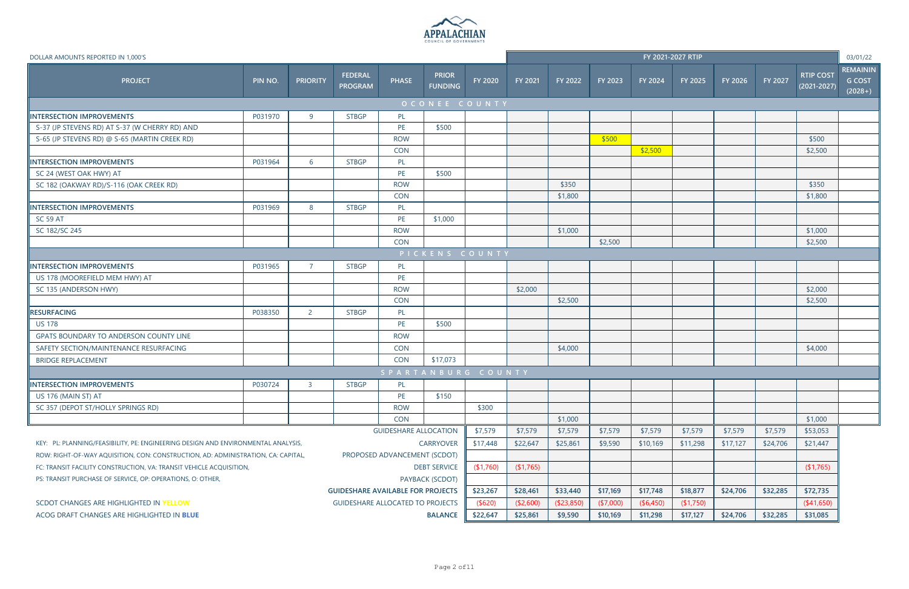

| DOLLAR AMOUNTS REPORTED IN 1,000'S                                                                                |                                                           |                 |                                  |                              |                                |                |           |                |            |                | FY 2021-2027 RTIP |          |          |                                     | 03/01/22                                      |
|-------------------------------------------------------------------------------------------------------------------|-----------------------------------------------------------|-----------------|----------------------------------|------------------------------|--------------------------------|----------------|-----------|----------------|------------|----------------|-------------------|----------|----------|-------------------------------------|-----------------------------------------------|
| <b>PROJECT</b>                                                                                                    | PIN NO.                                                   | <b>PRIORITY</b> | <b>FEDERAL</b><br><b>PROGRAM</b> | <b>PHASE</b>                 | <b>PRIOR</b><br><b>FUNDING</b> | <b>FY 2020</b> | FY 2021   | <b>FY 2022</b> | FY 2023    | <b>FY 2024</b> | FY 2025           | FY 2026  | FY 2027  | <b>RTIP COST</b><br>$(2021 - 2027)$ | <b>REMAININ</b><br><b>G COST</b><br>$(2028+)$ |
|                                                                                                                   |                                                           |                 |                                  |                              | OCONEE COUNTY                  |                |           |                |            |                |                   |          |          |                                     |                                               |
| INTERSECTION IMPROVEMENTS                                                                                         | P031970                                                   | 9               | <b>STBGP</b>                     | PL                           |                                |                |           |                |            |                |                   |          |          |                                     |                                               |
| S-37 (JP STEVENS RD) AT S-37 (W CHERRY RD) AND                                                                    |                                                           |                 |                                  | PE                           | \$500                          |                |           |                |            |                |                   |          |          |                                     |                                               |
| S-65 (JP STEVENS RD) @ S-65 (MARTIN CREEK RD)                                                                     |                                                           |                 |                                  | <b>ROW</b>                   |                                |                |           |                | \$500      |                |                   |          |          | \$500                               |                                               |
|                                                                                                                   |                                                           |                 |                                  | <b>CON</b>                   |                                |                |           |                |            | \$2,500        |                   |          |          | \$2,500                             |                                               |
| <b>INTERSECTION IMPROVEMENTS</b>                                                                                  | P031964                                                   | 6               | <b>STBGP</b>                     | PL                           |                                |                |           |                |            |                |                   |          |          |                                     |                                               |
| SC 24 (WEST OAK HWY) AT                                                                                           |                                                           |                 |                                  | PE                           | \$500                          |                |           |                |            |                |                   |          |          |                                     |                                               |
| SC 182 (OAKWAY RD)/S-116 (OAK CREEK RD)                                                                           |                                                           |                 |                                  | <b>ROW</b>                   |                                |                |           | \$350          |            |                |                   |          |          | \$350                               |                                               |
|                                                                                                                   |                                                           |                 |                                  | <b>CON</b>                   |                                |                |           | \$1,800        |            |                |                   |          |          | \$1,800                             |                                               |
| INTERSECTION IMPROVEMENTS                                                                                         | P031969                                                   | 8               | <b>STBGP</b>                     | PL                           |                                |                |           |                |            |                |                   |          |          |                                     |                                               |
| <b>SC 59 AT</b>                                                                                                   |                                                           |                 |                                  | PE                           | \$1,000                        |                |           |                |            |                |                   |          |          |                                     |                                               |
| SC 182/SC 245                                                                                                     |                                                           |                 |                                  | <b>ROW</b>                   |                                |                |           | \$1,000        |            |                |                   |          |          | \$1,000                             |                                               |
|                                                                                                                   |                                                           |                 |                                  | <b>CON</b>                   |                                |                |           |                | \$2,500    |                |                   |          |          | \$2,500                             |                                               |
|                                                                                                                   |                                                           |                 |                                  |                              | PICKENS COUNTY                 |                |           |                |            |                |                   |          |          |                                     |                                               |
| INTERSECTION IMPROVEMENTS                                                                                         | P031965                                                   | $\overline{7}$  | <b>STBGP</b>                     | PL                           |                                |                |           |                |            |                |                   |          |          |                                     |                                               |
| US 178 (MOOREFIELD MEM HWY) AT                                                                                    |                                                           |                 |                                  | PE                           |                                |                |           |                |            |                |                   |          |          |                                     |                                               |
| SC 135 (ANDERSON HWY)                                                                                             |                                                           |                 |                                  | <b>ROW</b>                   |                                |                | \$2,000   |                |            |                |                   |          |          | \$2,000                             |                                               |
|                                                                                                                   |                                                           |                 |                                  | <b>CON</b>                   |                                |                |           | \$2,500        |            |                |                   |          |          | \$2,500                             |                                               |
| RESURFACING                                                                                                       | P038350                                                   | $\overline{2}$  | <b>STBGP</b>                     | PL                           |                                |                |           |                |            |                |                   |          |          |                                     |                                               |
| <b>US 178</b>                                                                                                     |                                                           |                 |                                  | PE                           | \$500                          |                |           |                |            |                |                   |          |          |                                     |                                               |
| GPATS BOUNDARY TO ANDERSON COUNTY LINE                                                                            |                                                           |                 |                                  | <b>ROW</b>                   |                                |                |           |                |            |                |                   |          |          |                                     |                                               |
| SAFETY SECTION/MAINTENANCE RESURFACING                                                                            |                                                           |                 |                                  | <b>CON</b>                   |                                |                |           | \$4,000        |            |                |                   |          |          | \$4,000                             |                                               |
| <b>BRIDGE REPLACEMENT</b>                                                                                         |                                                           |                 |                                  | <b>CON</b>                   | \$17,073                       |                |           |                |            |                |                   |          |          |                                     |                                               |
|                                                                                                                   |                                                           |                 |                                  |                              | SPARTANBURG COUNTY             |                |           |                |            |                |                   |          |          |                                     |                                               |
| IINTERSECTION IMPROVEMENTS                                                                                        | P030724                                                   | $\overline{3}$  | <b>STBGP</b>                     | PL                           |                                |                |           |                |            |                |                   |          |          |                                     |                                               |
| US 176 (MAIN ST) AT                                                                                               |                                                           |                 |                                  | PE                           | \$150                          |                |           |                |            |                |                   |          |          |                                     |                                               |
| SC 357 (DEPOT ST/HOLLY SPRINGS RD)                                                                                |                                                           |                 |                                  | <b>ROW</b>                   |                                | \$300          |           |                |            |                |                   |          |          |                                     |                                               |
|                                                                                                                   |                                                           |                 |                                  | <b>CON</b>                   |                                |                |           | \$1,000        |            |                |                   |          |          | \$1,000                             |                                               |
|                                                                                                                   |                                                           |                 |                                  | <b>GUIDESHARE ALLOCATION</b> |                                | \$7,579        | \$7,579   | \$7,579        | \$7,579    | \$7,579        | \$7,579           | \$7,579  | \$7,579  | \$53,053                            |                                               |
| <b>CARRYOVER</b><br>KEY: PL: PLANNING/FEASIBILITY, PE: ENGINEERING DESIGN AND ENVIRONMENTAL ANALYSIS,             |                                                           |                 |                                  |                              |                                |                | \$22,647  | \$25,861       | \$9,590    | \$10,169       | \$11,298          | \$17,127 | \$24,706 | \$21,447                            |                                               |
| ROW: RIGHT-OF-WAY AQUISITION, CON: CONSTRUCTION, AD: ADMINISTRATION, CA: CAPITAL,<br>PROPOSED ADVANCEMENT (SCDOT) |                                                           |                 |                                  |                              |                                |                |           |                |            |                |                   |          |          |                                     |                                               |
| FC: TRANSIT FACILITY CONSTRUCTION, VA: TRANSIT VEHICLE ACQUISITION,                                               | <b>DEBT SERVICE</b>                                       |                 |                                  |                              |                                |                |           |                |            |                |                   |          |          | (1,765)                             |                                               |
| PS: TRANSIT PURCHASE OF SERVICE, OP: OPERATIONS, O: OTHER,                                                        | PAYBACK (SCDOT)                                           |                 |                                  |                              |                                |                |           |                |            |                |                   |          |          |                                     |                                               |
|                                                                                                                   | <b>GUIDESHARE AVAILABLE FOR PROJECTS</b>                  | \$23,267        | \$28,461                         | \$33,440                     | \$17,169                       | \$17,748       | \$18,877  | \$24,706       | \$32,285   | \$72,735       |                   |          |          |                                     |                                               |
| SCDOT CHANGES ARE HIGHLIGHTED IN YELLOW                                                                           |                                                           |                 |                                  |                              |                                | (\$620)        | (\$2,600) | (\$23,850)     | ( \$7,000) | (\$6,450)      | (\$1,750)         |          |          | (\$41,650)                          |                                               |
| ACOG DRAFT CHANGES ARE HIGHLIGHTED IN BLUE                                                                        | <b>GUIDESHARE ALLOCATED TO PROJECTS</b><br><b>BALANCE</b> |                 |                                  |                              |                                |                |           |                | \$10,169   | \$11,298       | \$17,127          | \$24,706 | \$32,285 | \$31,085                            |                                               |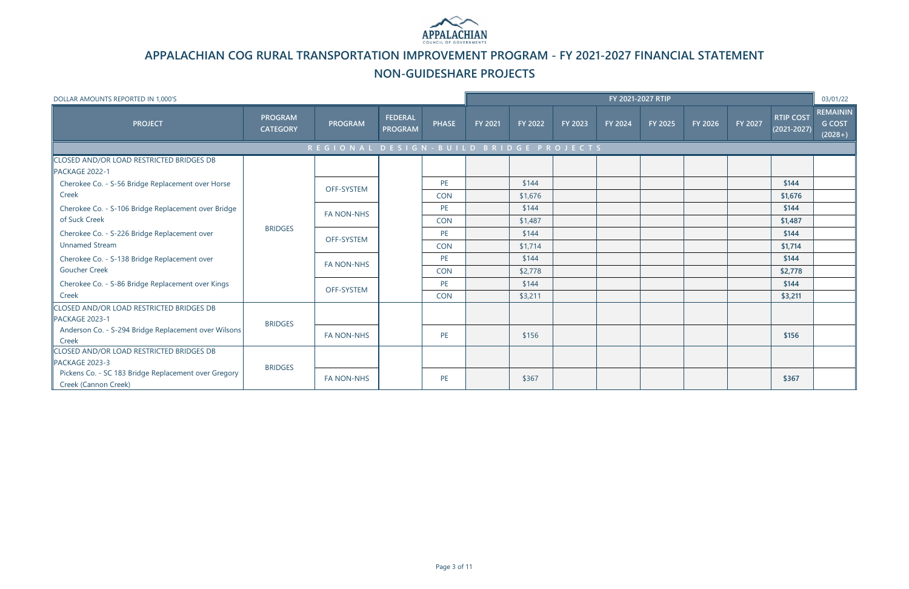| DOLLAR AMOUNTS REPORTED IN 1,000'S                                           |                                   |                                         |                                  |                  |                |                  |         |         | FY 2021-2027 RTIP |         |         |                                     | 03/01/22                                      |
|------------------------------------------------------------------------------|-----------------------------------|-----------------------------------------|----------------------------------|------------------|----------------|------------------|---------|---------|-------------------|---------|---------|-------------------------------------|-----------------------------------------------|
| <b>PROJECT</b>                                                               | <b>PROGRAM</b><br><b>CATEGORY</b> | <b>PROGRAM</b>                          | <b>FEDERAL</b><br><b>PROGRAM</b> | <b>PHASE</b>     | <b>FY 2021</b> | <b>FY 2022</b>   | FY 2023 | FY 2024 | FY 2025           | FY 2026 | FY 2027 | <b>RTIP COST</b><br>$(2021 - 2027)$ | <b>REMAININ</b><br><b>G COST</b><br>$(2028+)$ |
|                                                                              |                                   | REGIONAL DESIGN - BUILD BRIDGE PROJECTS |                                  |                  |                |                  |         |         |                   |         |         |                                     |                                               |
| CLOSED AND/OR LOAD RESTRICTED BRIDGES DB<br>PACKAGE 2022-1                   |                                   |                                         |                                  |                  |                |                  |         |         |                   |         |         |                                     |                                               |
| Cherokee Co. - S-56 Bridge Replacement over Horse<br>Creek                   |                                   | <b>OFF-SYSTEM</b>                       |                                  | PE<br><b>CON</b> |                | \$144<br>\$1,676 |         |         |                   |         |         | \$144<br>\$1,676                    |                                               |
| Cherokee Co. - S-106 Bridge Replacement over Bridge                          |                                   | <b>FA NON-NHS</b>                       |                                  | PE               |                | \$144            |         |         |                   |         |         | \$144                               |                                               |
| of Suck Creek                                                                | <b>BRIDGES</b>                    |                                         |                                  | <b>CON</b><br>PE |                | \$1,487<br>\$144 |         |         |                   |         |         | \$1,487<br>\$144                    |                                               |
| Cherokee Co. - S-226 Bridge Replacement over<br><b>Unnamed Stream</b>        |                                   | OFF-SYSTEM                              |                                  | <b>CON</b>       |                | \$1,714          |         |         |                   |         |         | \$1,714                             |                                               |
| Cherokee Co. - S-138 Bridge Replacement over                                 |                                   | <b>FA NON-NHS</b>                       |                                  | PE               |                | \$144            |         |         |                   |         |         | \$144                               |                                               |
| <b>Goucher Creek</b><br>Cherokee Co. - S-86 Bridge Replacement over Kings    |                                   |                                         |                                  | <b>CON</b><br>PE |                | \$2,778<br>\$144 |         |         |                   |         |         | \$2,778<br>\$144                    |                                               |
| Creek                                                                        |                                   | OFF-SYSTEM                              |                                  | <b>CON</b>       |                | \$3,211          |         |         |                   |         |         | \$3,211                             |                                               |
| CLOSED AND/OR LOAD RESTRICTED BRIDGES DB<br>PACKAGE 2023-1                   | <b>BRIDGES</b>                    |                                         |                                  |                  |                |                  |         |         |                   |         |         |                                     |                                               |
| Anderson Co. - S-294 Bridge Replacement over Wilsons<br>Creek                |                                   | <b>FA NON-NHS</b>                       |                                  | PE               |                | \$156            |         |         |                   |         |         | \$156                               |                                               |
| CLOSED AND/OR LOAD RESTRICTED BRIDGES DB<br>PACKAGE 2023-3                   |                                   |                                         |                                  |                  |                |                  |         |         |                   |         |         |                                     |                                               |
| Pickens Co. - SC 183 Bridge Replacement over Gregory<br>Creek (Cannon Creek) | <b>BRIDGES</b>                    | <b>FA NON-NHS</b>                       |                                  | PE               |                | \$367            |         |         |                   |         |         | \$367                               |                                               |



# **APPALACHIAN COG RURAL TRANSPORTATION IMPROVEMENT PROGRAM - FY 2021-2027 FINANCIAL STATEMENT**

## **NON-GUIDESHARE PROJECTS**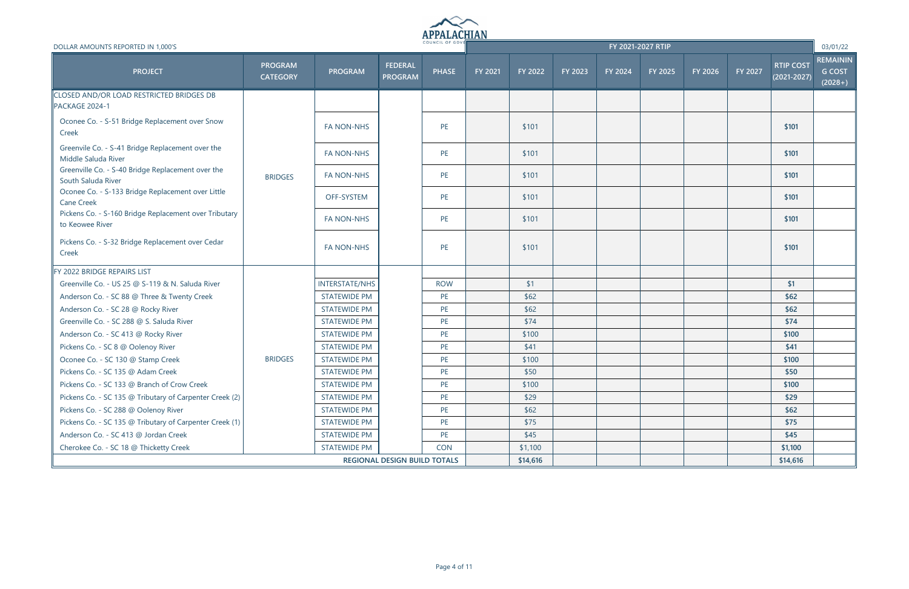

| DOLLAR AMOUNTS REPORTED IN 1,000'S                                       |                                   |                       |                                     | COUNCIL OF GOVE |                |          |         |         | FY 2021-2027 RTIP |         |         |                                     | 03/01/22                                      |
|--------------------------------------------------------------------------|-----------------------------------|-----------------------|-------------------------------------|-----------------|----------------|----------|---------|---------|-------------------|---------|---------|-------------------------------------|-----------------------------------------------|
| <b>PROJECT</b>                                                           | <b>PROGRAM</b><br><b>CATEGORY</b> | <b>PROGRAM</b>        | <b>FEDERAL</b><br><b>PROGRAM</b>    | <b>PHASE</b>    | <b>FY 2021</b> | FY 2022  | FY 2023 | FY 2024 | FY 2025           | FY 2026 | FY 2027 | <b>RTIP COST</b><br>$(2021 - 2027)$ | <b>REMAININ</b><br><b>G COST</b><br>$(2028+)$ |
| <b>CLOSED AND/OR LOAD RESTRICTED BRIDGES DB</b><br>PACKAGE 2024-1        |                                   |                       |                                     |                 |                |          |         |         |                   |         |         |                                     |                                               |
| Oconee Co. - S-51 Bridge Replacement over Snow<br>Creek                  |                                   | <b>FA NON-NHS</b>     |                                     | PE              |                | \$101    |         |         |                   |         |         | \$101                               |                                               |
| Greenvile Co. - S-41 Bridge Replacement over the<br>Middle Saluda River  |                                   | <b>FA NON-NHS</b>     |                                     | PE              |                | \$101    |         |         |                   |         |         | \$101                               |                                               |
| Greenville Co. - S-40 Bridge Replacement over the<br>South Saluda River  | <b>BRIDGES</b>                    | <b>FA NON-NHS</b>     |                                     | PE              |                | \$101    |         |         |                   |         |         | \$101                               |                                               |
| Oconee Co. - S-133 Bridge Replacement over Little<br><b>Cane Creek</b>   |                                   | OFF-SYSTEM            |                                     | PE              |                | \$101    |         |         |                   |         |         | \$101                               |                                               |
| Pickens Co. - S-160 Bridge Replacement over Tributary<br>to Keowee River |                                   | <b>FA NON-NHS</b>     |                                     | PE              |                | \$101    |         |         |                   |         |         | \$101                               |                                               |
| Pickens Co. - S-32 Bridge Replacement over Cedar<br>Creek                |                                   | <b>FA NON-NHS</b>     |                                     | PE              |                | \$101    |         |         |                   |         |         | \$101                               |                                               |
| FY 2022 BRIDGE REPAIRS LIST                                              |                                   |                       |                                     |                 |                |          |         |         |                   |         |         |                                     |                                               |
| Greenville Co. - US 25 @ S-119 & N. Saluda River                         |                                   | <b>INTERSTATE/NHS</b> |                                     | <b>ROW</b>      |                | \$1      |         |         |                   |         |         | \$1                                 |                                               |
| Anderson Co. - SC 88 @ Three & Twenty Creek                              |                                   | <b>STATEWIDE PM</b>   |                                     | PE              |                | \$62     |         |         |                   |         |         | \$62                                |                                               |
| Anderson Co. - SC 28 @ Rocky River                                       |                                   | <b>STATEWIDE PM</b>   |                                     | PE              |                | \$62     |         |         |                   |         |         | \$62                                |                                               |
| Greenville Co. - SC 288 @ S. Saluda River                                |                                   | <b>STATEWIDE PM</b>   |                                     | PE              |                | \$74     |         |         |                   |         |         | \$74                                |                                               |
| Anderson Co. - SC 413 @ Rocky River                                      |                                   | <b>STATEWIDE PM</b>   |                                     | PE              |                | \$100    |         |         |                   |         |         | \$100                               |                                               |
| Pickens Co. - SC 8 @ Oolenoy River                                       |                                   | <b>STATEWIDE PM</b>   |                                     | PE              |                | \$41     |         |         |                   |         |         | \$41                                |                                               |
| Oconee Co. - SC 130 @ Stamp Creek                                        | <b>BRIDGES</b>                    | <b>STATEWIDE PM</b>   |                                     | PE              |                | \$100    |         |         |                   |         |         | \$100                               |                                               |
| Pickens Co. - SC 135 @ Adam Creek                                        |                                   | <b>STATEWIDE PM</b>   |                                     | PE              |                | \$50     |         |         |                   |         |         | \$50                                |                                               |
| Pickens Co. - SC 133 @ Branch of Crow Creek                              |                                   | <b>STATEWIDE PM</b>   |                                     | PE              |                | \$100    |         |         |                   |         |         | \$100                               |                                               |
| Pickens Co. - SC 135 @ Tributary of Carpenter Creek (2)                  |                                   | <b>STATEWIDE PM</b>   |                                     | PE              |                | \$29     |         |         |                   |         |         | \$29                                |                                               |
| Pickens Co. - SC 288 @ Oolenoy River                                     |                                   | <b>STATEWIDE PM</b>   |                                     | PE              |                | \$62     |         |         |                   |         |         | \$62                                |                                               |
| Pickens Co. - SC 135 @ Tributary of Carpenter Creek (1)                  |                                   | <b>STATEWIDE PM</b>   |                                     | PE              |                | \$75     |         |         |                   |         |         | \$75                                |                                               |
| Anderson Co. - SC 413 @ Jordan Creek                                     |                                   | <b>STATEWIDE PM</b>   |                                     | PE              |                | \$45     |         |         |                   |         |         | \$45                                |                                               |
| Cherokee Co. - SC 18 @ Thicketty Creek                                   |                                   | <b>STATEWIDE PM</b>   |                                     | <b>CON</b>      |                | \$1,100  |         |         |                   |         |         | \$1,100                             |                                               |
|                                                                          |                                   |                       | <b>REGIONAL DESIGN BUILD TOTALS</b> |                 |                | \$14,616 |         |         |                   |         |         | \$14,616                            |                                               |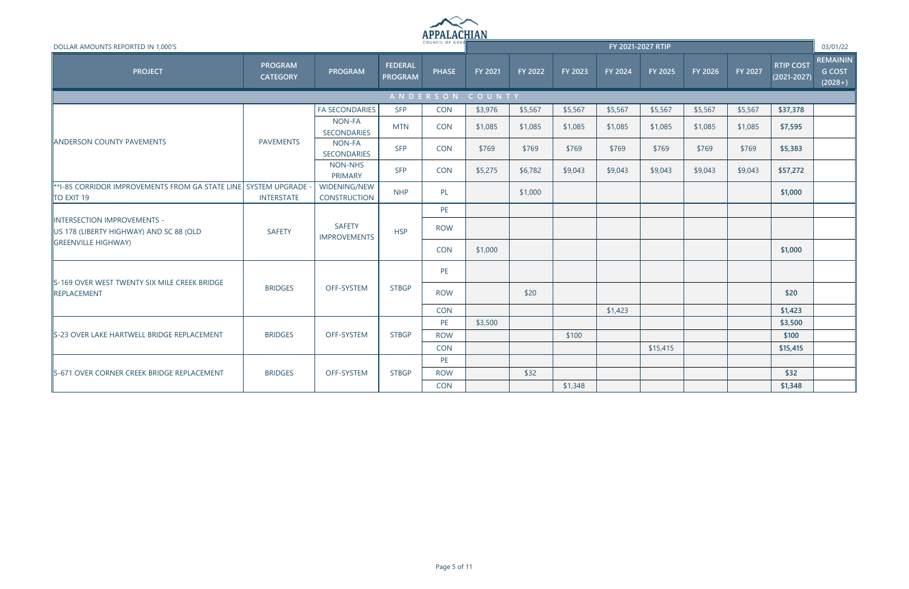

| DOLLAR AMOUNTS REPORTED IN 1,000'S                                          |                                   |                                      |                                  |                 |                |         |         |         | FY 2021-2027 RTIP |         |         |                                     | 03/01/22                                      |
|-----------------------------------------------------------------------------|-----------------------------------|--------------------------------------|----------------------------------|-----------------|----------------|---------|---------|---------|-------------------|---------|---------|-------------------------------------|-----------------------------------------------|
| <b>PROJECT</b>                                                              | <b>PROGRAM</b><br><b>CATEGORY</b> | <b>PROGRAM</b>                       | <b>FEDERAL</b><br><b>PROGRAM</b> | <b>PHASE</b>    | <b>FY 2021</b> | FY 2022 | FY 2023 | FY 2024 | FY 2025           | FY 2026 | FY 2027 | <b>RTIP COST</b><br>$(2021 - 2027)$ | <b>REMAININ</b><br><b>G COST</b><br>$(2028+)$ |
|                                                                             |                                   |                                      |                                  | ANDERSON COUNTY |                |         |         |         |                   |         |         |                                     |                                               |
|                                                                             |                                   | <b>FA SECONDARIES</b>                | <b>SFP</b>                       | <b>CON</b>      | \$3,976        | \$5,567 | \$5,567 | \$5,567 | \$5,567           | \$5,567 | \$5,567 | \$37,378                            |                                               |
|                                                                             |                                   | NON-FA<br>SECONDARIES                | <b>MTN</b>                       | <b>CON</b>      | \$1,085        | \$1,085 | \$1,085 | \$1,085 | \$1,085           | \$1,085 | \$1,085 | \$7,595                             |                                               |
| <b>ANDERSON COUNTY PAVEMENTS</b>                                            | <b>PAVEMENTS</b>                  | NON-FA<br><b>SECONDARIES</b>         | <b>SFP</b>                       | <b>CON</b>      | \$769          | \$769   | \$769   | \$769   | \$769             | \$769   | \$769   | \$5,383                             |                                               |
|                                                                             |                                   | NON-NHS<br><b>PRIMARY</b>            | <b>SFP</b>                       | <b>CON</b>      | \$5,275        | \$6,782 | \$9,043 | \$9,043 | \$9,043           | \$9,043 | \$9,043 | \$57,272                            |                                               |
| *1-85 CORRIDOR IMPROVEMENTS FROM GA STATE LINE SYSTEM UPGRADE<br>TO EXIT 19 | <b>INTERSTATE</b>                 | WIDENING/NEW<br><b>CONSTRUCTION</b>  | <b>NHP</b>                       | PL              |                | \$1,000 |         |         |                   |         |         | \$1,000                             |                                               |
|                                                                             |                                   |                                      |                                  | PE              |                |         |         |         |                   |         |         |                                     |                                               |
| INTERSECTION IMPROVEMENTS -<br>US 178 (LIBERTY HIGHWAY) AND SC 88 (OLD      | <b>SAFETY</b>                     | <b>SAFETY</b><br><b>IMPROVEMENTS</b> | <b>HSP</b>                       | <b>ROW</b>      |                |         |         |         |                   |         |         |                                     |                                               |
| <b>GREENVILLE HIGHWAY</b>                                                   |                                   |                                      |                                  | <b>CON</b>      | \$1,000        |         |         |         |                   |         |         | \$1,000                             |                                               |
| S-169 OVER WEST TWENTY SIX MILE CREEK BRIDGE                                |                                   |                                      |                                  | PE              |                |         |         |         |                   |         |         |                                     |                                               |
| REPLACEMENT                                                                 | <b>BRIDGES</b>                    | OFF-SYSTEM                           | <b>STBGP</b>                     | <b>ROW</b>      |                | \$20    |         |         |                   |         |         | \$20                                |                                               |
|                                                                             |                                   |                                      |                                  | <b>CON</b>      |                |         |         | \$1,423 |                   |         |         | \$1,423                             |                                               |
|                                                                             |                                   |                                      |                                  | PE              | \$3,500        |         |         |         |                   |         |         | \$3,500                             |                                               |
| S-23 OVER LAKE HARTWELL BRIDGE REPLACEMENT                                  | <b>BRIDGES</b>                    | OFF-SYSTEM                           | <b>STBGP</b>                     | <b>ROW</b>      |                |         | \$100   |         |                   |         |         | \$100                               |                                               |
|                                                                             |                                   |                                      |                                  | <b>CON</b>      |                |         |         |         | \$15,415          |         |         | \$15,415                            |                                               |
|                                                                             |                                   |                                      |                                  | PE              |                |         |         |         |                   |         |         |                                     |                                               |
| S-671 OVER CORNER CREEK BRIDGE REPLACEMENT                                  | <b>BRIDGES</b>                    | OFF-SYSTEM                           | <b>STBGP</b>                     | <b>ROW</b>      |                | \$32    |         |         |                   |         |         | \$32                                |                                               |
|                                                                             |                                   |                                      |                                  | <b>CON</b>      |                |         | \$1,348 |         |                   |         |         | \$1,348                             |                                               |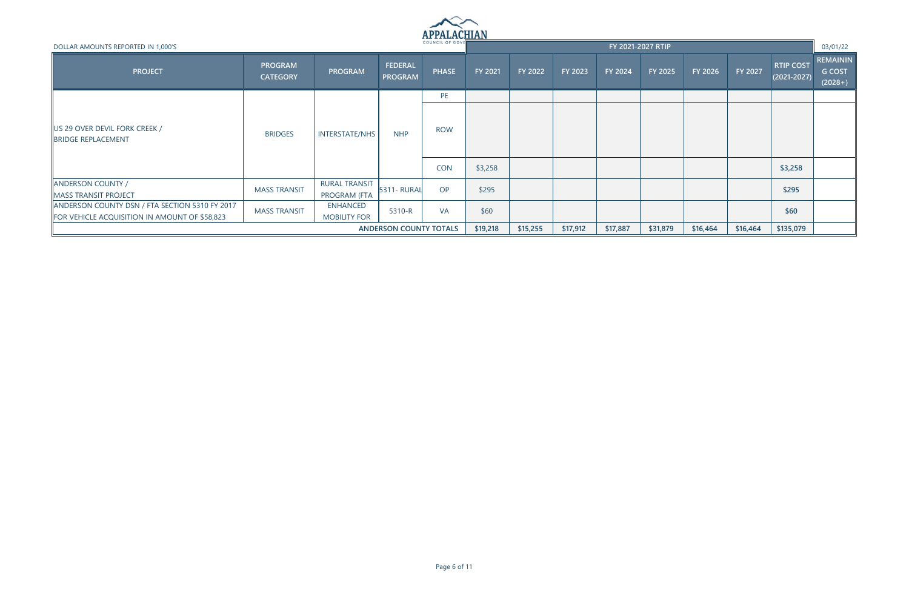

| DOLLAR AMOUNTS REPORTED IN 1,000'S                                                                     |                                   |                                        |                                  | * ** * * * * * * * * * * * * * *<br>COUNCIL OF GOVE |         |         |         |         | FY 2021-2027 RTIP |          |          |                                     | 03/01/22                                      |
|--------------------------------------------------------------------------------------------------------|-----------------------------------|----------------------------------------|----------------------------------|-----------------------------------------------------|---------|---------|---------|---------|-------------------|----------|----------|-------------------------------------|-----------------------------------------------|
| <b>PROJECT</b>                                                                                         | <b>PROGRAM</b><br><b>CATEGORY</b> | <b>PROGRAM</b>                         | <b>FEDERAL</b><br><b>PROGRAM</b> | <b>PHASE</b>                                        | FY 2021 | FY 2022 | FY 2023 | FY 2024 | <b>FY 2025</b>    | FY 2026  | FY 2027  | <b>RTIP COST</b><br>$(2021 - 2027)$ | <b>REMAININ</b><br><b>G COST</b><br>$(2028+)$ |
|                                                                                                        |                                   |                                        |                                  | PE                                                  |         |         |         |         |                   |          |          |                                     |                                               |
| <b>JUS 29 OVER DEVIL FORK CREEK /</b><br><b>BRIDGE REPLACEMENT</b>                                     | <b>BRIDGES</b>                    | <b>INTERSTATE/NHS</b>                  | <b>NHP</b>                       | <b>ROW</b>                                          |         |         |         |         |                   |          |          |                                     |                                               |
|                                                                                                        |                                   |                                        |                                  | <b>CON</b>                                          | \$3,258 |         |         |         |                   |          |          | \$3,258                             |                                               |
| <b>ANDERSON COUNTY /</b><br>MASS TRANSIT PROJECT                                                       | <b>MASS TRANSIT</b>               | <b>RURAL TRANSIT</b><br>PROGRAM (FTA   | <b>5311- RURAL</b>               | OP                                                  | \$295   |         |         |         |                   |          |          | \$295                               |                                               |
| ANDERSON COUNTY DSN / FTA SECTION 5310 FY 2017<br><b>FOR VEHICLE ACQUISITION IN AMOUNT OF \$58,823</b> | <b>MASS TRANSIT</b>               | <b>ENHANCED</b><br><b>MOBILITY FOR</b> | 5310-R                           | <b>VA</b>                                           | \$60    |         |         |         |                   |          |          | \$60                                |                                               |
|                                                                                                        | <b>ANDERSON COUNTY TOTALS</b>     |                                        |                                  |                                                     |         |         |         |         | \$31,879          | \$16,464 | \$16,464 | \$135,079                           |                                               |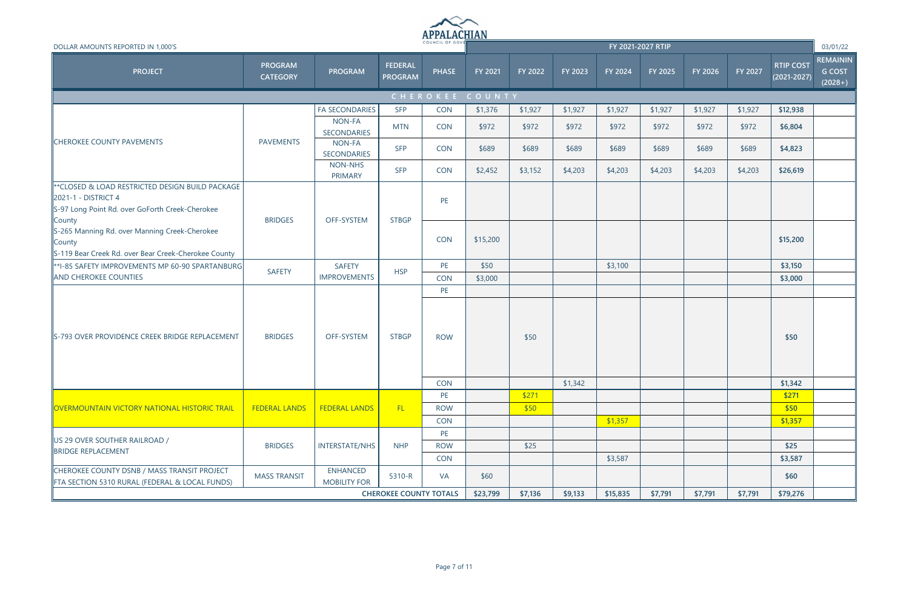

| DOLLAR AMOUNTS REPORTED IN 1,000'S                                                                                                  |                                   |                                        |                                  | COUNCIL OF GOVE                |                 |                |         |          | FY 2021-2027 RTIP |         |         |                                     | 03/01/22                                      |
|-------------------------------------------------------------------------------------------------------------------------------------|-----------------------------------|----------------------------------------|----------------------------------|--------------------------------|-----------------|----------------|---------|----------|-------------------|---------|---------|-------------------------------------|-----------------------------------------------|
| <b>PROJECT</b>                                                                                                                      | <b>PROGRAM</b><br><b>CATEGORY</b> | <b>PROGRAM</b>                         | <b>FEDERAL</b><br><b>PROGRAM</b> | <b>PHASE</b>                   | <b>FY 2021</b>  | <b>FY 2022</b> | FY 2023 | FY 2024  | FY 2025           | FY 2026 | FY 2027 | <b>RTIP COST</b><br>$(2021 - 2027)$ | <b>REMAININ</b><br><b>G COST</b><br>$(2028+)$ |
|                                                                                                                                     |                                   |                                        |                                  |                                | CHEROKEE COUNTY |                |         |          |                   |         |         |                                     |                                               |
|                                                                                                                                     |                                   | <b>FA SECONDARIES</b>                  | <b>SFP</b>                       | <b>CON</b>                     | \$1,376         | \$1,927        | \$1,927 | \$1,927  | \$1,927           | \$1,927 | \$1,927 | \$12,938                            |                                               |
|                                                                                                                                     |                                   | NON-FA<br>SECONDARIES                  | <b>MTN</b>                       | <b>CON</b>                     | \$972           | \$972          | \$972   | \$972    | \$972             | \$972   | \$972   | \$6,804                             |                                               |
| <b>CHEROKEE COUNTY PAVEMENTS</b>                                                                                                    | <b>PAVEMENTS</b>                  | NON-FA<br>SECONDARIES                  | <b>SFP</b>                       | <b>CON</b>                     | \$689           | \$689          | \$689   | \$689    | \$689             | \$689   | \$689   | \$4,823                             |                                               |
|                                                                                                                                     |                                   | <b>NON-NHS</b><br>PRIMARY              | <b>SFP</b>                       | <b>CON</b>                     | \$2,452         | \$3,152        | \$4,203 | \$4,203  | \$4,203           | \$4,203 | \$4,203 | \$26,619                            |                                               |
| k*CLOSED & LOAD RESTRICTED DESIGN BUILD PACKAGE<br>2021-1 - DISTRICT 4<br>S-97 Long Point Rd. over GoForth Creek-Cherokee<br>County | <b>BRIDGES</b>                    | OFF-SYSTEM                             | <b>STBGP</b>                     | PE                             |                 |                |         |          |                   |         |         |                                     |                                               |
| S-265 Manning Rd. over Manning Creek-Cherokee<br>County<br>S-119 Bear Creek Rd. over Bear Creek-Cherokee County                     |                                   |                                        |                                  | CON                            | \$15,200        |                |         |          |                   |         |         | \$15,200                            |                                               |
| **I-85 SAFETY IMPROVEMENTS MP 60-90 SPARTANBURG                                                                                     | <b>SAFETY</b>                     | <b>SAFETY</b>                          | <b>HSP</b>                       | PE                             | \$50            |                |         | \$3,100  |                   |         |         | \$3,150                             |                                               |
| <b>AND CHEROKEE COUNTIES</b>                                                                                                        |                                   | <b>IMPROVEMENTS</b>                    |                                  | <b>CON</b>                     | \$3,000         |                |         |          |                   |         |         | \$3,000                             |                                               |
| S-793 OVER PROVIDENCE CREEK BRIDGE REPLACEMENT                                                                                      | <b>BRIDGES</b>                    | OFF-SYSTEM                             | <b>STBGP</b>                     | PE<br><b>ROW</b>               |                 | \$50           |         |          |                   |         |         | \$50                                |                                               |
|                                                                                                                                     |                                   |                                        |                                  | <b>CON</b>                     |                 |                | \$1,342 |          |                   |         |         | \$1,342                             |                                               |
| <b>OVERMOUNTAIN VICTORY NATIONAL HISTORIC TRAIL</b>                                                                                 | <b>FEDERAL LANDS</b>              |                                        | - FL                             | PE                             |                 | \$271          |         |          |                   |         |         | \$271                               |                                               |
|                                                                                                                                     |                                   | <b>FEDERAL LANDS</b>                   |                                  | <b>ROW</b><br><b>CON</b>       |                 | \$50           |         | \$1,357  |                   |         |         | \$50<br>\$1,357                     |                                               |
| US 29 OVER SOUTHER RAILROAD /<br><b>BRIDGE REPLACEMENT</b>                                                                          | <b>BRIDGES</b>                    | <b>INTERSTATE/NHS</b>                  | <b>NHP</b>                       | PE<br><b>ROW</b><br><b>CON</b> |                 | \$25           |         | \$3,587  |                   |         |         | \$25<br>\$3,587                     |                                               |
| CHEROKEE COUNTY DSNB / MASS TRANSIT PROJECT<br>FTA SECTION 5310 RURAL (FEDERAL & LOCAL FUNDS)                                       | <b>MASS TRANSIT</b>               | <b>ENHANCED</b><br><b>MOBILITY FOR</b> | 5310-R                           | VA                             | \$60            |                |         |          |                   |         |         | \$60                                |                                               |
|                                                                                                                                     |                                   |                                        | <b>CHEROKEE COUNTY TOTALS</b>    |                                | \$23,799        | \$7,136        | \$9,133 | \$15,835 | \$7,791           | \$7,791 | \$7,791 | \$79,276                            |                                               |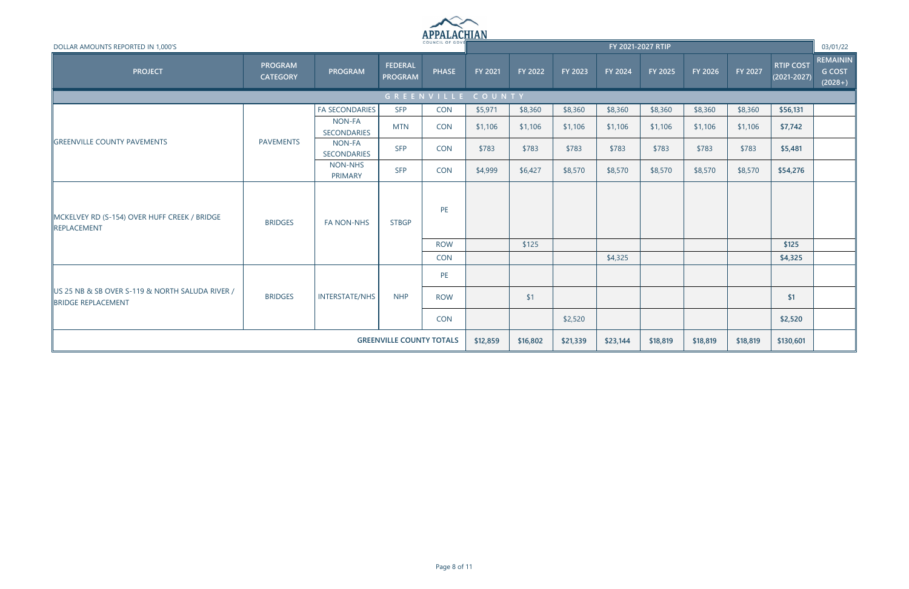

| DOLLAR AMOUNTS REPORTED IN 1,000'S                                           |                                   |                              |                                  | COUNCIL OF GOVE |                   |         |         | FY 2021-2027 RTIP |                |          |          |                                     | 03/01/22                                      |
|------------------------------------------------------------------------------|-----------------------------------|------------------------------|----------------------------------|-----------------|-------------------|---------|---------|-------------------|----------------|----------|----------|-------------------------------------|-----------------------------------------------|
| <b>PROJECT</b>                                                               | <b>PROGRAM</b><br><b>CATEGORY</b> | <b>PROGRAM</b>               | <b>FEDERAL</b><br><b>PROGRAM</b> | <b>PHASE</b>    | FY 2021           | FY 2022 | FY 2023 | <b>FY 2024</b>    | <b>FY 2025</b> | FY 2026  | FY 2027  | <b>RTIP COST</b><br>$(2021 - 2027)$ | <b>REMAININ</b><br><b>G COST</b><br>$(2028+)$ |
|                                                                              |                                   |                              |                                  |                 | GREENVILLE COUNTY |         |         |                   |                |          |          |                                     |                                               |
|                                                                              |                                   | <b>FA SECONDARIES</b>        | <b>SFP</b>                       | <b>CON</b>      | \$5,971           | \$8,360 | \$8,360 | \$8,360           | \$8,360        | \$8,360  | \$8,360  | \$56,131                            |                                               |
|                                                                              |                                   | NON-FA<br><b>SECONDARIES</b> | <b>MTN</b>                       | <b>CON</b>      | \$1,106           | \$1,106 | \$1,106 | \$1,106           | \$1,106        | \$1,106  | \$1,106  | \$7,742                             |                                               |
| <b>GREENVILLE COUNTY PAVEMENTS</b>                                           | <b>PAVEMENTS</b>                  | NON-FA<br>SECONDARIES        | <b>SFP</b>                       | <b>CON</b>      | \$783             | \$783   | \$783   | \$783             | \$783          | \$783    | \$783    | \$5,481                             |                                               |
|                                                                              |                                   | NON-NHS<br>PRIMARY           | <b>SFP</b>                       | CON             | \$4,999           | \$6,427 | \$8,570 | \$8,570           | \$8,570        | \$8,570  | \$8,570  | \$54,276                            |                                               |
| MCKELVEY RD (S-154) OVER HUFF CREEK / BRIDGE<br>REPLACEMENT                  | <b>BRIDGES</b>                    | <b>FA NON-NHS</b>            | <b>STBGP</b>                     | PE              |                   |         |         |                   |                |          |          |                                     |                                               |
|                                                                              |                                   |                              |                                  | <b>ROW</b>      |                   | \$125   |         |                   |                |          |          | \$125                               |                                               |
|                                                                              |                                   |                              |                                  | <b>CON</b>      |                   |         |         | \$4,325           |                |          |          | \$4,325                             |                                               |
|                                                                              |                                   |                              |                                  | <b>PE</b>       |                   |         |         |                   |                |          |          |                                     |                                               |
| US 25 NB & SB OVER S-119 & NORTH SALUDA RIVER /<br><b>BRIDGE REPLACEMENT</b> | <b>BRIDGES</b>                    | <b>INTERSTATE/NHS</b>        | <b>NHP</b>                       | <b>ROW</b>      |                   | \$1     |         |                   |                |          |          | \$1                                 |                                               |
|                                                                              |                                   |                              |                                  | CON             |                   |         | \$2,520 |                   |                |          |          | \$2,520                             |                                               |
|                                                                              | <b>GREENVILLE COUNTY TOTALS</b>   |                              |                                  |                 |                   |         |         |                   | \$18,819       | \$18,819 | \$18,819 | \$130,601                           |                                               |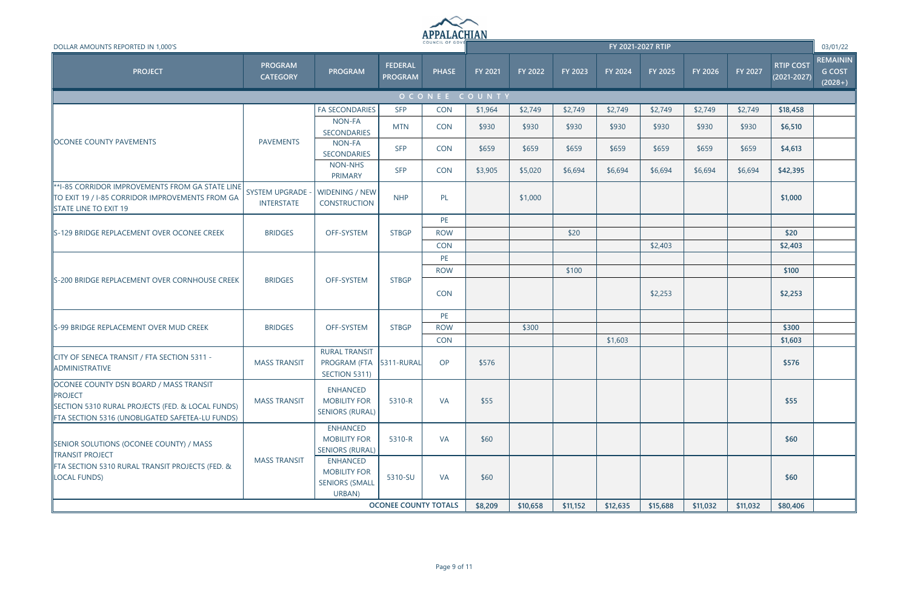

| DOLLAR AMOUNTS REPORTED IN 1,000'S                                                                                                                              |                                              |                                                                           |                                  |              |               |          |          | FY 2021-2027 RTIP |          |          |                |                                     | 03/01/22                                      |
|-----------------------------------------------------------------------------------------------------------------------------------------------------------------|----------------------------------------------|---------------------------------------------------------------------------|----------------------------------|--------------|---------------|----------|----------|-------------------|----------|----------|----------------|-------------------------------------|-----------------------------------------------|
| <b>PROJECT</b>                                                                                                                                                  | <b>PROGRAM</b><br><b>CATEGORY</b>            | PROGRAM                                                                   | <b>FEDERAL</b><br><b>PROGRAM</b> | <b>PHASE</b> | FY 2021       | FY 2022  | FY 2023  | FY 2024           | FY 2025  | FY 2026  | <b>FY 2027</b> | <b>RTIP COST</b><br>$(2021 - 2027)$ | <b>REMAININ</b><br><b>G COST</b><br>$(2028+)$ |
|                                                                                                                                                                 |                                              |                                                                           |                                  |              | OCONEE COUNTY |          |          |                   |          |          |                |                                     |                                               |
|                                                                                                                                                                 |                                              | <b>FA SECONDARIES</b>                                                     | <b>SFP</b>                       | <b>CON</b>   | \$1,964       | \$2,749  | \$2,749  | \$2,749           | \$2,749  | \$2,749  | \$2,749        | \$18,458                            |                                               |
|                                                                                                                                                                 |                                              | NON-FA<br><b>SECONDARIES</b>                                              | <b>MTN</b>                       | <b>CON</b>   | \$930         | \$930    | \$930    | \$930             | \$930    | \$930    | \$930          | \$6,510                             |                                               |
| <b>OCONEE COUNTY PAVEMENTS</b>                                                                                                                                  | <b>PAVEMENTS</b>                             | NON-FA<br><b>SECONDARIES</b>                                              | <b>SFP</b>                       | <b>CON</b>   | \$659         | \$659    | \$659    | \$659             | \$659    | \$659    | \$659          | \$4,613                             |                                               |
|                                                                                                                                                                 |                                              | NON-NHS<br>PRIMARY                                                        | <b>SFP</b>                       | <b>CON</b>   | \$3,905       | \$5,020  | \$6,694  | \$6,694           | \$6,694  | \$6,694  | \$6,694        | \$42,395                            |                                               |
| **I-85 CORRIDOR IMPROVEMENTS FROM GA STATE LINE<br>TO EXIT 19 / I-85 CORRIDOR IMPROVEMENTS FROM GA<br>STATE LINE TO EXIT 19                                     | <b>SYSTEM UPGRADE -</b><br><b>INTERSTATE</b> | WIDENING / NEW<br><b>CONSTRUCTION</b>                                     | <b>NHP</b>                       | PL           |               | \$1,000  |          |                   |          |          |                | \$1,000                             |                                               |
|                                                                                                                                                                 |                                              |                                                                           |                                  | PE           |               |          |          |                   |          |          |                |                                     |                                               |
| S-129 BRIDGE REPLACEMENT OVER OCONEE CREEK                                                                                                                      | <b>BRIDGES</b>                               | OFF-SYSTEM                                                                | <b>STBGP</b>                     | <b>ROW</b>   |               |          | \$20     |                   |          |          |                | \$20                                |                                               |
|                                                                                                                                                                 |                                              |                                                                           |                                  | <b>CON</b>   |               |          |          |                   | \$2,403  |          |                | \$2,403                             |                                               |
|                                                                                                                                                                 |                                              |                                                                           |                                  | PE           |               |          |          |                   |          |          |                |                                     |                                               |
|                                                                                                                                                                 |                                              |                                                                           |                                  | <b>ROW</b>   |               |          | \$100    |                   |          |          |                | \$100                               |                                               |
| S-200 BRIDGE REPLACEMENT OVER CORNHOUSE CREEK                                                                                                                   | <b>BRIDGES</b>                               | OFF-SYSTEM                                                                | <b>STBGP</b>                     | <b>CON</b>   |               |          |          |                   | \$2,253  |          |                | \$2,253                             |                                               |
|                                                                                                                                                                 |                                              |                                                                           |                                  | PE           |               |          |          |                   |          |          |                |                                     |                                               |
| S-99 BRIDGE REPLACEMENT OVER MUD CREEK                                                                                                                          | <b>BRIDGES</b>                               | OFF-SYSTEM                                                                | <b>STBGP</b>                     | <b>ROW</b>   |               | \$300    |          |                   |          |          |                | \$300                               |                                               |
|                                                                                                                                                                 |                                              |                                                                           |                                  | <b>CON</b>   |               |          |          | \$1,603           |          |          |                | \$1,603                             |                                               |
| CITY OF SENECA TRANSIT / FTA SECTION 5311 -<br>ADMINISTRATIVE                                                                                                   | <b>MASS TRANSIT</b>                          | <b>RURAL TRANSIT</b><br>PROGRAM (FTA 5311-RURAL<br>SECTION 5311)          |                                  | OP           | \$576         |          |          |                   |          |          |                | \$576                               |                                               |
| OCONEE COUNTY DSN BOARD / MASS TRANSIT<br><b>PROJECT</b><br>SECTION 5310 RURAL PROJECTS (FED. & LOCAL FUNDS)<br>FTA SECTION 5316 (UNOBLIGATED SAFETEA-LU FUNDS) | <b>MASS TRANSIT</b>                          | <b>ENHANCED</b><br><b>MOBILITY FOR</b><br><b>SENIORS (RURAL)</b>          | 5310-R                           | <b>VA</b>    | \$55          |          |          |                   |          |          |                | \$55                                |                                               |
| <b>SENIOR SOLUTIONS (OCONEE COUNTY) / MASS</b><br><b>TRANSIT PROJECT</b>                                                                                        |                                              | <b>ENHANCED</b><br><b>MOBILITY FOR</b><br><b>SENIORS (RURAL)</b>          | 5310-R                           | <b>VA</b>    | \$60          |          |          |                   |          |          |                | \$60                                |                                               |
| FTA SECTION 5310 RURAL TRANSIT PROJECTS (FED. &<br><b>LOCAL FUNDS)</b>                                                                                          | <b>MASS TRANSIT</b>                          | <b>ENHANCED</b><br><b>MOBILITY FOR</b><br><b>SENIORS (SMALL</b><br>URBAN) | 5310-SU                          | <b>VA</b>    | \$60          |          |          |                   |          |          |                | \$60                                |                                               |
|                                                                                                                                                                 |                                              |                                                                           | <b>OCONEE COUNTY TOTALS</b>      |              | \$8,209       | \$10,658 | \$11,152 | \$12,635          | \$15,688 | \$11,032 | \$11,032       | \$80,406                            |                                               |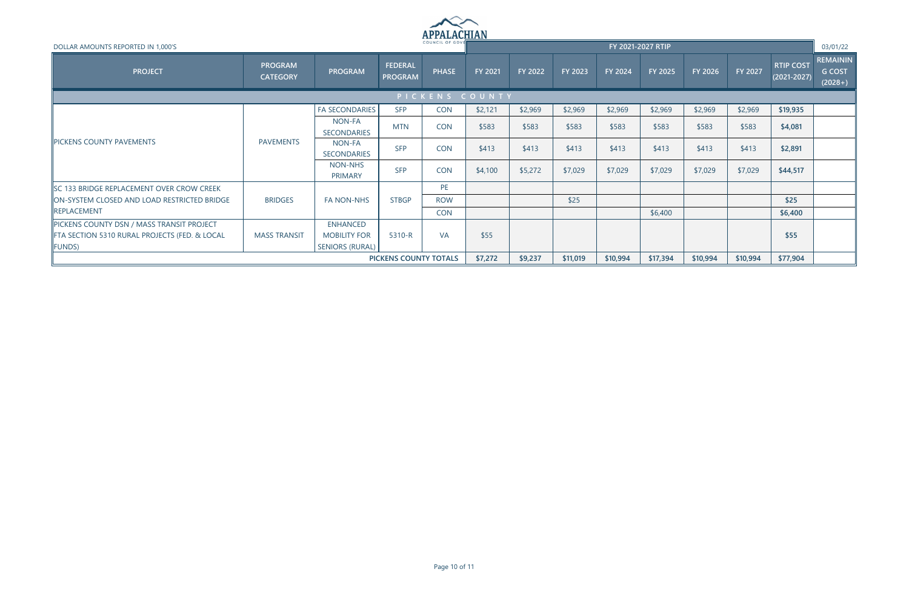

| DOLLAR AMOUNTS REPORTED IN 1,000'S                                                                   |                                   |                                                                  |                                  | . <del>.</del> .<br>COUNCIL OF GOVE |         |         |         |                | FY 2021-2027 RTIP |          |          |                                     | 03/01/22                                      |
|------------------------------------------------------------------------------------------------------|-----------------------------------|------------------------------------------------------------------|----------------------------------|-------------------------------------|---------|---------|---------|----------------|-------------------|----------|----------|-------------------------------------|-----------------------------------------------|
| <b>PROJECT</b>                                                                                       | <b>PROGRAM</b><br><b>CATEGORY</b> | <b>PROGRAM</b>                                                   | <b>FEDERAL</b><br><b>PROGRAM</b> | <b>PHASE</b>                        | FY 2021 | FY 2022 | FY 2023 | <b>FY 2024</b> | FY 2025           | FY 2026  | FY 2027  | <b>RTIP COST</b><br>$(2021 - 2027)$ | <b>REMAININ</b><br><b>G COST</b><br>$(2028+)$ |
|                                                                                                      |                                   |                                                                  |                                  | PICKENS COUNTY                      |         |         |         |                |                   |          |          |                                     |                                               |
|                                                                                                      |                                   | <b>FA SECONDARIES</b>                                            | <b>SFP</b>                       | <b>CON</b>                          | \$2,121 | \$2,969 | \$2,969 | \$2,969        | \$2,969           | \$2,969  | \$2,969  | \$19,935                            |                                               |
|                                                                                                      |                                   | NON-FA<br>SECONDARIES                                            | <b>MTN</b>                       | <b>CON</b>                          | \$583   | \$583   | \$583   | \$583          | \$583             | \$583    | \$583    | \$4,081                             |                                               |
| <b>IPICKENS COUNTY PAVEMENTS</b>                                                                     | <b>PAVEMENTS</b>                  | NON-FA<br><b>SECONDARIES</b>                                     | <b>SFP</b>                       | <b>CON</b>                          | \$413   | \$413   | \$413   | \$413          | \$413             | \$413    | \$413    | \$2,891                             |                                               |
|                                                                                                      |                                   | NON-NHS<br><b>PRIMARY</b>                                        | <b>SFP</b>                       | <b>CON</b>                          | \$4,100 | \$5,272 | \$7,029 | \$7,029        | \$7,029           | \$7,029  | \$7,029  | \$44,517                            |                                               |
| SC 133 BRIDGE REPLACEMENT OVER CROW CREEK                                                            |                                   |                                                                  |                                  | PE                                  |         |         |         |                |                   |          |          |                                     |                                               |
| ON-SYSTEM CLOSED AND LOAD RESTRICTED BRIDGE                                                          | <b>BRIDGES</b>                    | <b>FA NON-NHS</b>                                                | <b>STBGP</b>                     | <b>ROW</b>                          |         |         | \$25    |                |                   |          |          | \$25                                |                                               |
| REPLACEMENT                                                                                          |                                   |                                                                  |                                  | <b>CON</b>                          |         |         |         |                | \$6,400           |          |          | \$6,400                             |                                               |
| PICKENS COUNTY DSN / MASS TRANSIT PROJECT<br>FTA SECTION 5310 RURAL PROJECTS (FED. & LOCAL<br>FUNDS) | <b>MASS TRANSIT</b>               | <b>ENHANCED</b><br><b>MOBILITY FOR</b><br><b>SENIORS (RURAL)</b> | 5310-R                           | <b>VA</b>                           | \$55    |         |         |                |                   |          |          | \$55                                |                                               |
|                                                                                                      | PICKENS COUNTY TOTALS             |                                                                  |                                  |                                     |         |         |         | \$10,994       | \$17,394          | \$10,994 | \$10,994 | \$77,904                            |                                               |